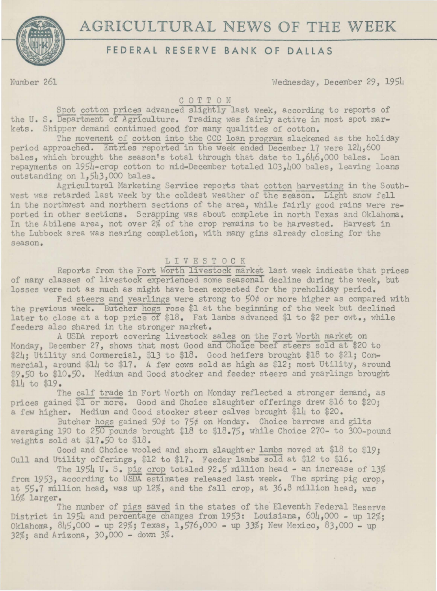

## **FEDERAL RESERVE BANK OF DALLAS**

Number 261 Wednesday, December 29, 1954

## COTTON

Spot cotton prices advanced slightly last week, according to reports of the U. S. Department of Agriculture. Trading was fairly active in most spot markets. Shipper demand continued good for many qualities of cotton.

The movement of cotton into the CCC loan program slackened as the holiday period approached. Entries reported in the week ended December 17 were 124,600 bales, which brought the season's total through that date to 1,646,000 bales. Loan repayments on 1954-crop cotton to mid-December totaled 103,400 bales, leaving loans outstanding on 1,543,000 bales.

Agricultural Marketing Service reports that cotton harvesting in the Southwest was retarded last week by the coldest weather of the season. Light snow fell in the northwest and northern sections of the area, while fairly good rains were reported in other sections. Scrapping was about complete in north Texas and Oklahoma. In the Abilene area, not over 2% of the crop remains to be harvested. Harvest in the Lubbock area was nearing completion, with many gins already closing for the season.

## LIVESTOCK

Reports from the Fort Worth livestock market last week indicate that prices of many classes of livestock experienced some seasonal decline during the week, but losses were not as much as might have been expected for the preholiday period.

Fed steers and yearlings were strong to 50¢ or more higher as compared with the previous week. Butcher hogs rose \$1 at the beginning of the week but declined later to close at a top price of  $$18.$  Fat lambs advanced \$1 to \$2 per cwt., while feeders also shared in the stronger market.

A USDA report covering livestock sales on the Fort Worth market on Monday, December 27, shows that most Good and Choice beef steers sold at \$20 to \$24; Utility and Commercial, \$13 to \$18. Good heifers brought \$18 to \$21; Commercial, around \$14 to \$17. A few cows sold as high as \$12; most Utility, around \$9.50 to \$10.50. Medium and Good stocker and feeder steers and yearlings brought \$14 to \$19.

The calf trade in Fort Worth on Monday reflected a stronger demand, as prices gained  $l$  or more. Good and Choice slaughter offerings drew \$16 to \$20; a few higher. Medium and Good stocker steer calves brought \$14 to \$20.

Butcher hogs gained 50¢ to 75¢ on Monday. Choice barrows and gilts averaging 190 to 250 pounds brought  $18 \cdot 18 \cdot 75$ , while Choice 270- to 300-pound weights sold at \$17.50 to \$18.

Good and Choice wooled and shorn slaughter lambs moved at \$18 to \$19; Cull and Utility offerings, \$12 to \$17. Feeder lambs sold at \$12 to \$16.

The 1954 U. S. pig crop totaled 92.5 million head - an increase of 13% from 1953, according to USDA estimates released last week. The spring pig crop, at 55.7 million head, was up 12%, and the fall crop, at 36.8 million head, was 16% larger. . The number of pigs saved in the states of the Eleventh Federal Reserve

District in 1954 and percentage changes from 1953: Louisiana, 604,000 - up 12%; Oklahoma, 8L5,000 - up 29%; Texas, 1,576,ooo - up 33%; New Mexico, 83,000 - up 32%; and Arizona, *30,000* - down 3%.